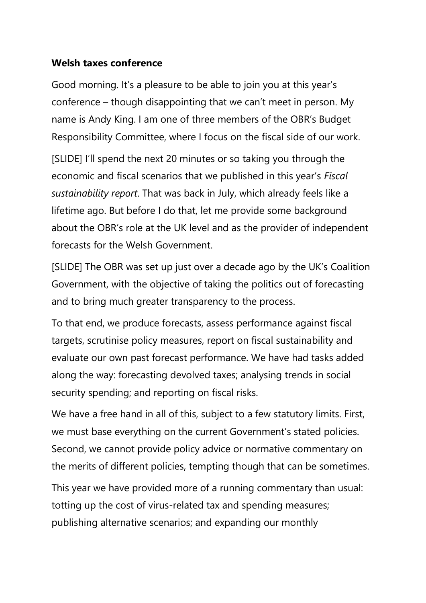## **Welsh taxes conference**

 Responsibility Committee, where I focus on the fiscal side of our work. Good morning. It's a pleasure to be able to join you at this year's conference – though disappointing that we can't meet in person. My name is Andy King. I am one of three members of the OBR's Budget

[SLIDE] I'll spend the next 20 minutes or so taking you through the economic and fiscal scenarios that we published in this year's *Fiscal sustainability report*. That was back in July, which already feels like a lifetime ago. But before I do that, let me provide some background about the OBR's role at the UK level and as the provider of independent forecasts for the Welsh Government.

 Government, with the objective of taking the politics out of forecasting [SLIDE] The OBR was set up just over a decade ago by the UK's Coalition and to bring much greater transparency to the process.

To that end, we produce forecasts, assess performance against fiscal targets, scrutinise policy measures, report on fiscal sustainability and evaluate our own past forecast performance. We have had tasks added along the way: forecasting devolved taxes; analysing trends in social security spending; and reporting on fiscal risks.

 the merits of different policies, tempting though that can be sometimes. We have a free hand in all of this, subject to a few statutory limits. First, we must base everything on the current Government's stated policies. Second, we cannot provide policy advice or normative commentary on

This year we have provided more of a running commentary than usual: totting up the cost of virus-related tax and spending measures; publishing alternative scenarios; and expanding our monthly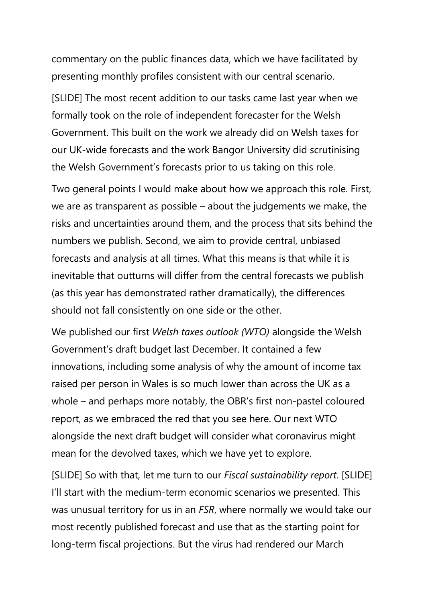commentary on the public finances data, which we have facilitated by presenting monthly profiles consistent with our central scenario.

 our UK-wide forecasts and the work Bangor University did scrutinising the Welsh Government's forecasts prior to us taking on this role. [SLIDE] The most recent addition to our tasks came last year when we formally took on the role of independent forecaster for the Welsh Government. This built on the work we already did on Welsh taxes for

 forecasts and analysis at all times. What this means is that while it is Two general points I would make about how we approach this role. First, we are as transparent as possible – about the judgements we make, the risks and uncertainties around them, and the process that sits behind the numbers we publish. Second, we aim to provide central, unbiased inevitable that outturns will differ from the central forecasts we publish (as this year has demonstrated rather dramatically), the differences should not fall consistently on one side or the other.

 raised per person in Wales is so much lower than across the UK as a report, as we embraced the red that you see here. Our next WTO We published our first *Welsh taxes outlook (WTO)* alongside the Welsh Government's draft budget last December. It contained a few innovations, including some analysis of why the amount of income tax whole – and perhaps more notably, the OBR's first non-pastel coloured alongside the next draft budget will consider what coronavirus might mean for the devolved taxes, which we have yet to explore.

 most recently published forecast and use that as the starting point for [SLIDE] So with that, let me turn to our *Fiscal sustainability report*. [SLIDE] I'll start with the medium-term economic scenarios we presented. This was unusual territory for us in an *FSR*, where normally we would take our long-term fiscal projections. But the virus had rendered our March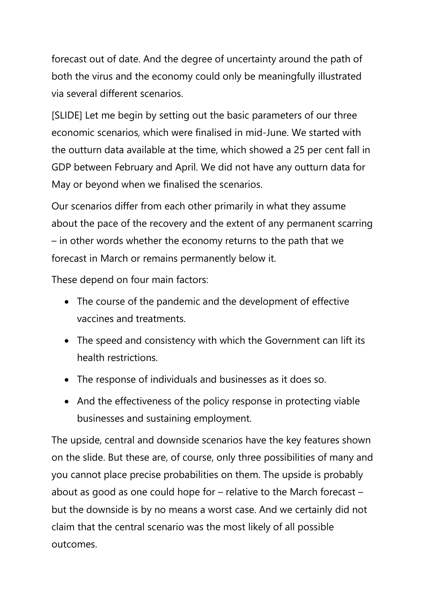forecast out of date. And the degree of uncertainty around the path of both the virus and the economy could only be meaningfully illustrated via several different scenarios.

[SLIDE] Let me begin by setting out the basic parameters of our three economic scenarios, which were finalised in mid-June. We started with the outturn data available at the time, which showed a 25 per cent fall in GDP between February and April. We did not have any outturn data for May or beyond when we finalised the scenarios.

Our scenarios differ from each other primarily in what they assume about the pace of the recovery and the extent of any permanent scarring – in other words whether the economy returns to the path that we forecast in March or remains permanently below it.

These depend on four main factors:

- The course of the pandemic and the development of effective vaccines and treatments.
- The speed and consistency with which the Government can lift its health restrictions.
- The response of individuals and businesses as it does so.
- • And the effectiveness of the policy response in protecting viable businesses and sustaining employment.

 on the slide. But these are, of course, only three possibilities of many and about as good as one could hope for – relative to the March forecast – claim that the central scenario was the most likely of all possible The upside, central and downside scenarios have the key features shown you cannot place precise probabilities on them. The upside is probably but the downside is by no means a worst case. And we certainly did not outcomes.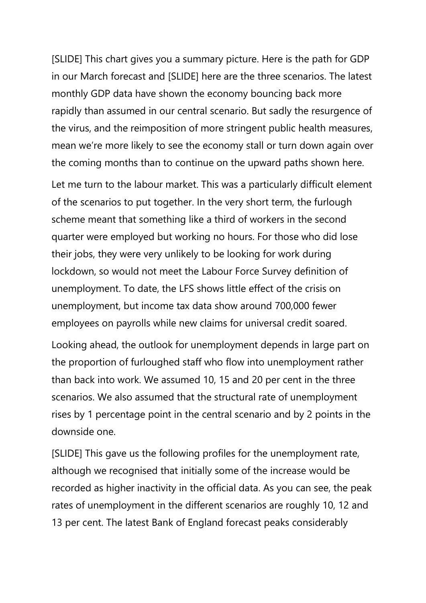[SLIDE] This chart gives you a summary picture. Here is the path for GDP in our March forecast and [SLIDE] here are the three scenarios. The latest monthly GDP data have shown the economy bouncing back more rapidly than assumed in our central scenario. But sadly the resurgence of the virus, and the reimposition of more stringent public health measures, mean we're more likely to see the economy stall or turn down again over the coming months than to continue on the upward paths shown here.

 of the scenarios to put together. In the very short term, the furlough lockdown, so would not meet the Labour Force Survey definition of Let me turn to the labour market. This was a particularly difficult element scheme meant that something like a third of workers in the second quarter were employed but working no hours. For those who did lose their jobs, they were very unlikely to be looking for work during unemployment. To date, the LFS shows little effect of the crisis on unemployment, but income tax data show around 700,000 fewer employees on payrolls while new claims for universal credit soared.

 scenarios. We also assumed that the structural rate of unemployment Looking ahead, the outlook for unemployment depends in large part on the proportion of furloughed staff who flow into unemployment rather than back into work. We assumed 10, 15 and 20 per cent in the three rises by 1 percentage point in the central scenario and by 2 points in the downside one.

 although we recognised that initially some of the increase would be [SLIDE] This gave us the following profiles for the unemployment rate, recorded as higher inactivity in the official data. As you can see, the peak rates of unemployment in the different scenarios are roughly 10, 12 and 13 per cent. The latest Bank of England forecast peaks considerably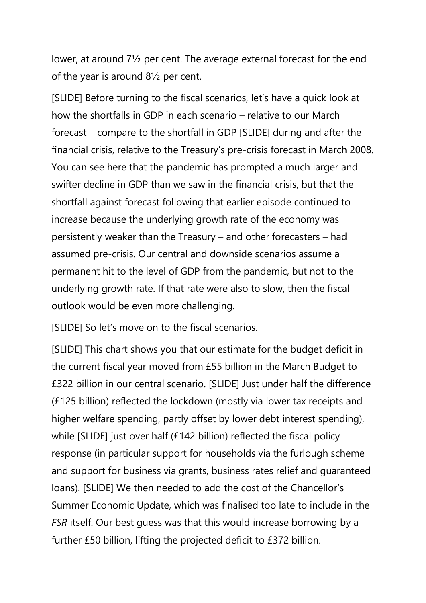lower, at around 7½ per cent. The average external forecast for the end of the year is around 8½ per cent.

 increase because the underlying growth rate of the economy was permanent hit to the level of GDP from the pandemic, but not to the [SLIDE] Before turning to the fiscal scenarios, let's have a quick look at how the shortfalls in GDP in each scenario – relative to our March forecast – compare to the shortfall in GDP [SLIDE] during and after the financial crisis, relative to the Treasury's pre-crisis forecast in March 2008. You can see here that the pandemic has prompted a much larger and swifter decline in GDP than we saw in the financial crisis, but that the shortfall against forecast following that earlier episode continued to persistently weaker than the Treasury – and other forecasters – had assumed pre-crisis. Our central and downside scenarios assume a underlying growth rate. If that rate were also to slow, then the fiscal outlook would be even more challenging.

[SLIDE] So let's move on to the fiscal scenarios.

 *FSR* itself. Our best guess was that this would increase borrowing by a [SLIDE] This chart shows you that our estimate for the budget deficit in the current fiscal year moved from £55 billion in the March Budget to £322 billion in our central scenario. [SLIDE] Just under half the difference (£125 billion) reflected the lockdown (mostly via lower tax receipts and higher welfare spending, partly offset by lower debt interest spending), while [SLIDE] just over half (£142 billion) reflected the fiscal policy response (in particular support for households via the furlough scheme and support for business via grants, business rates relief and guaranteed loans). [SLIDE] We then needed to add the cost of the Chancellor's Summer Economic Update, which was finalised too late to include in the further £50 billion, lifting the projected deficit to £372 billion.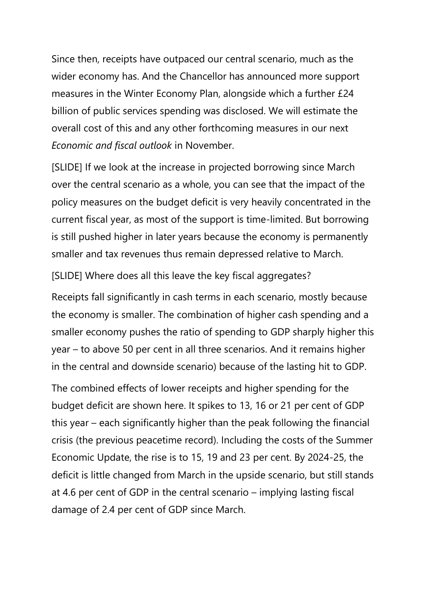measures in the Winter Economy Plan, alongside which a further £24 Since then, receipts have outpaced our central scenario, much as the wider economy has. And the Chancellor has announced more support billion of public services spending was disclosed. We will estimate the overall cost of this and any other forthcoming measures in our next *Economic and fiscal outlook* in November.

[SLIDE] If we look at the increase in projected borrowing since March over the central scenario as a whole, you can see that the impact of the policy measures on the budget deficit is very heavily concentrated in the current fiscal year, as most of the support is time-limited. But borrowing is still pushed higher in later years because the economy is permanently smaller and tax revenues thus remain depressed relative to March.

[SLIDE] Where does all this leave the key fiscal aggregates?

Receipts fall significantly in cash terms in each scenario, mostly because the economy is smaller. The combination of higher cash spending and a smaller economy pushes the ratio of spending to GDP sharply higher this year – to above 50 per cent in all three scenarios. And it remains higher in the central and downside scenario) because of the lasting hit to GDP.

 crisis (the previous peacetime record). Including the costs of the Summer The combined effects of lower receipts and higher spending for the budget deficit are shown here. It spikes to 13, 16 or 21 per cent of GDP this year – each significantly higher than the peak following the financial Economic Update, the rise is to 15, 19 and 23 per cent. By 2024-25, the deficit is little changed from March in the upside scenario, but still stands at 4.6 per cent of GDP in the central scenario – implying lasting fiscal damage of 2.4 per cent of GDP since March.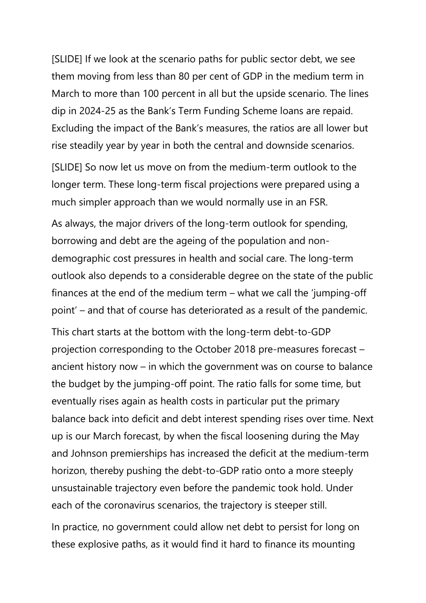[SLIDE] If we look at the scenario paths for public sector debt, we see them moving from less than 80 per cent of GDP in the medium term in March to more than 100 percent in all but the upside scenario. The lines dip in 2024-25 as the Bank's Term Funding Scheme loans are repaid. Excluding the impact of the Bank's measures, the ratios are all lower but rise steadily year by year in both the central and downside scenarios.

[SLIDE] So now let us move on from the medium-term outlook to the longer term. These long-term fiscal projections were prepared using a much simpler approach than we would normally use in an FSR.

 As always, the major drivers of the long-term outlook for spending, outlook also depends to a considerable degree on the state of the public borrowing and debt are the ageing of the population and nondemographic cost pressures in health and social care. The long-term finances at the end of the medium term – what we call the 'jumping-off point' – and that of course has deteriorated as a result of the pandemic.

This chart starts at the bottom with the long-term debt-to-GDP projection corresponding to the October 2018 pre-measures forecast – ancient history now – in which the government was on course to balance the budget by the jumping-off point. The ratio falls for some time, but eventually rises again as health costs in particular put the primary balance back into deficit and debt interest spending rises over time. Next up is our March forecast, by when the fiscal loosening during the May and Johnson premierships has increased the deficit at the medium-term horizon, thereby pushing the debt-to-GDP ratio onto a more steeply unsustainable trajectory even before the pandemic took hold. Under each of the coronavirus scenarios, the trajectory is steeper still.

In practice, no government could allow net debt to persist for long on these explosive paths, as it would find it hard to finance its mounting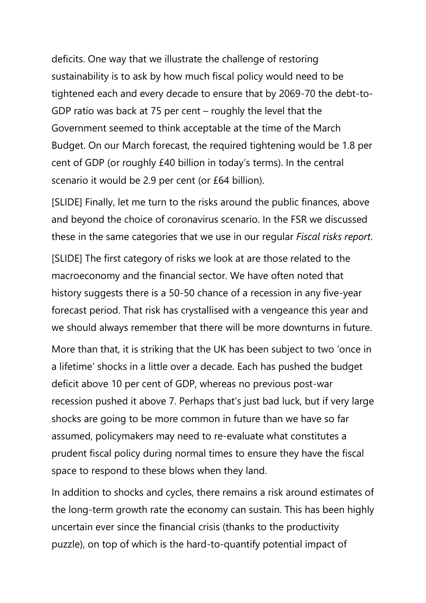sustainability is to ask by how much fiscal policy would need to be deficits. One way that we illustrate the challenge of restoring tightened each and every decade to ensure that by 2069-70 the debt-to-GDP ratio was back at 75 per cent – roughly the level that the Government seemed to think acceptable at the time of the March Budget. On our March forecast, the required tightening would be 1.8 per cent of GDP (or roughly £40 billion in today's terms). In the central scenario it would be 2.9 per cent (or £64 billion).

[SLIDE] Finally, let me turn to the risks around the public finances, above and beyond the choice of coronavirus scenario. In the FSR we discussed these in the same categories that we use in our regular *Fiscal risks report*.

 [SLIDE] The first category of risks we look at are those related to the macroeconomy and the financial sector. We have often noted that history suggests there is a 50-50 chance of a recession in any five-year forecast period. That risk has crystallised with a vengeance this year and we should always remember that there will be more downturns in future.

 assumed, policymakers may need to re-evaluate what constitutes a More than that, it is striking that the UK has been subject to two 'once in a lifetime' shocks in a little over a decade. Each has pushed the budget deficit above 10 per cent of GDP, whereas no previous post-war recession pushed it above 7. Perhaps that's just bad luck, but if very large shocks are going to be more common in future than we have so far prudent fiscal policy during normal times to ensure they have the fiscal space to respond to these blows when they land.

 In addition to shocks and cycles, there remains a risk around estimates of the long-term growth rate the economy can sustain. This has been highly uncertain ever since the financial crisis (thanks to the productivity puzzle), on top of which is the hard-to-quantify potential impact of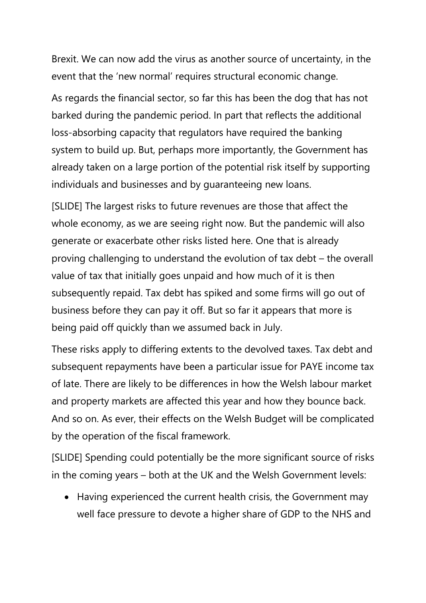Brexit. We can now add the virus as another source of uncertainty, in the event that the 'new normal' requires structural economic change.

 As regards the financial sector, so far this has been the dog that has not already taken on a large portion of the potential risk itself by supporting barked during the pandemic period. In part that reflects the additional loss-absorbing capacity that regulators have required the banking system to build up. But, perhaps more importantly, the Government has individuals and businesses and by guaranteeing new loans.

 whole economy, as we are seeing right now. But the pandemic will also subsequently repaid. Tax debt has spiked and some firms will go out of [SLIDE] The largest risks to future revenues are those that affect the generate or exacerbate other risks listed here. One that is already proving challenging to understand the evolution of tax debt – the overall value of tax that initially goes unpaid and how much of it is then business before they can pay it off. But so far it appears that more is being paid off quickly than we assumed back in July.

 and property markets are affected this year and how they bounce back. These risks apply to differing extents to the devolved taxes. Tax debt and subsequent repayments have been a particular issue for PAYE income tax of late. There are likely to be differences in how the Welsh labour market And so on. As ever, their effects on the Welsh Budget will be complicated by the operation of the fiscal framework.

 [SLIDE] Spending could potentially be the more significant source of risks in the coming years – both at the UK and the Welsh Government levels:

 well face pressure to devote a higher share of GDP to the NHS and • Having experienced the current health crisis, the Government may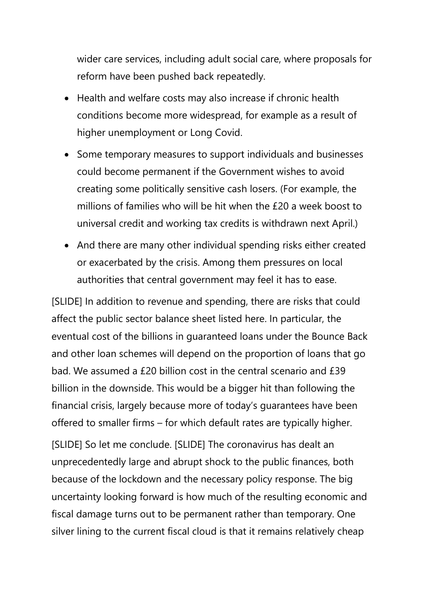wider care services, including adult social care, where proposals for reform have been pushed back repeatedly.

- conditions become more widespread, for example as a result of • Health and welfare costs may also increase if chronic health higher unemployment or Long Covid.
- • Some temporary measures to support individuals and businesses could become permanent if the Government wishes to avoid creating some politically sensitive cash losers. (For example, the millions of families who will be hit when the £20 a week boost to universal credit and working tax credits is withdrawn next April.)
- authorities that central government may feel it has to ease. • And there are many other individual spending risks either created or exacerbated by the crisis. Among them pressures on local

 bad. We assumed a £20 billion cost in the central scenario and £39 financial crisis, largely because more of today's guarantees have been [SLIDE] In addition to revenue and spending, there are risks that could affect the public sector balance sheet listed here. In particular, the eventual cost of the billions in guaranteed loans under the Bounce Back and other loan schemes will depend on the proportion of loans that go billion in the downside. This would be a bigger hit than following the offered to smaller firms – for which default rates are typically higher.

 unprecedentedly large and abrupt shock to the public finances, both uncertainty looking forward is how much of the resulting economic and [SLIDE] So let me conclude. [SLIDE] The coronavirus has dealt an because of the lockdown and the necessary policy response. The big fiscal damage turns out to be permanent rather than temporary. One silver lining to the current fiscal cloud is that it remains relatively cheap